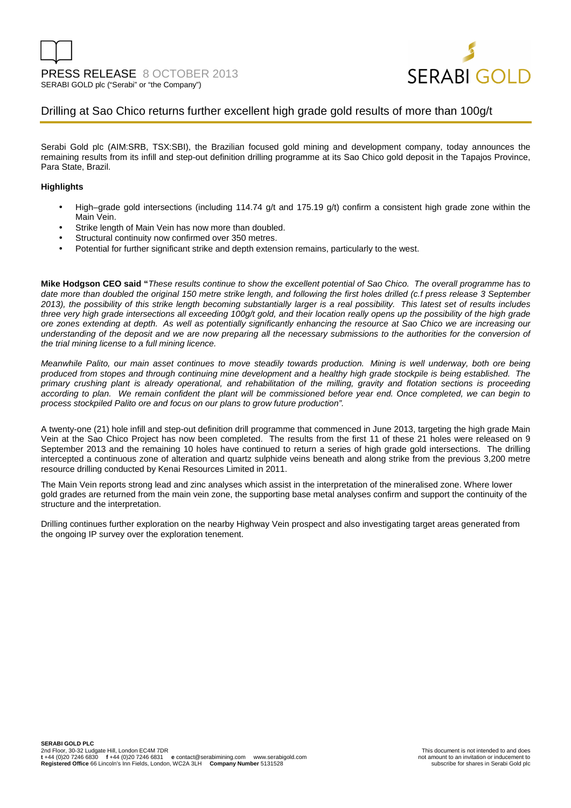

# Drilling at Sao Chico returns further excellent high grade gold results of more than 100g/t

Serabi Gold plc (AIM:SRB, TSX:SBI), the Brazilian focused gold mining and development company, today announces the remaining results from its infill and step-out definition drilling programme at its Sao Chico gold deposit in the Tapajos Province, Para State, Brazil.

## **Highlights**

- High–grade gold intersections (including 114.74 g/t and 175.19 g/t) confirm a consistent high grade zone within the Main Vein.
- Strike length of Main Vein has now more than doubled.
- Structural continuity now confirmed over 350 metres.
- Potential for further significant strike and depth extension remains, particularly to the west.

**Mike Hodgson CEO said "**These results continue to show the excellent potential of Sao Chico. The overall programme has to date more than doubled the original 150 metre strike length, and following the first holes drilled (c.f press release 3 September 2013), the possibility of this strike length becoming substantially larger is a real possibility. This latest set of results includes three very high grade intersections all exceeding 100g/t gold, and their location really opens up the possibility of the high grade ore zones extending at depth. As well as potentially significantly enhancing the resource at Sao Chico we are increasing our understanding of the deposit and we are now preparing all the necessary submissions to the authorities for the conversion of the trial mining license to a full mining licence.

Meanwhile Palito, our main asset continues to move steadily towards production. Mining is well underway, both ore being produced from stopes and through continuing mine development and a healthy high grade stockpile is being established. The primary crushing plant is already operational, and rehabilitation of the milling, gravity and flotation sections is proceeding according to plan. We remain confident the plant will be commissioned before year end. Once completed, we can begin to process stockpiled Palito ore and focus on our plans to grow future production".

A twenty-one (21) hole infill and step-out definition drill programme that commenced in June 2013, targeting the high grade Main Vein at the Sao Chico Project has now been completed. The results from the first 11 of these 21 holes were released on 9 September 2013 and the remaining 10 holes have continued to return a series of high grade gold intersections. The drilling intercepted a continuous zone of alteration and quartz sulphide veins beneath and along strike from the previous 3,200 metre resource drilling conducted by Kenai Resources Limited in 2011.

The Main Vein reports strong lead and zinc analyses which assist in the interpretation of the mineralised zone. Where lower gold grades are returned from the main vein zone, the supporting base metal analyses confirm and support the continuity of the structure and the interpretation.

Drilling continues further exploration on the nearby Highway Vein prospect and also investigating target areas generated from the ongoing IP survey over the exploration tenement.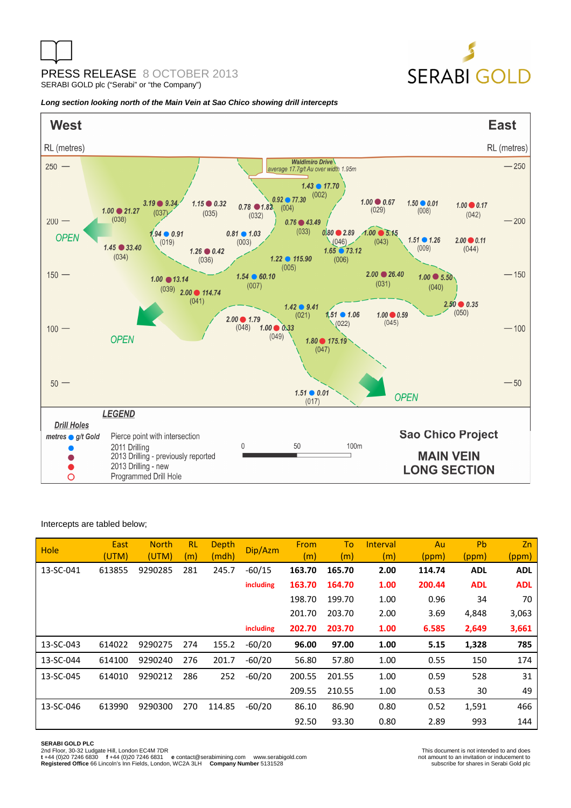

# PRESS RELEASE 8 OCTOBER 2013 SERABI GOLD plc ("Serabi" or "the Company")

### **Long section looking north of the Main Vein at Sao Chico showing drill intercepts**



## Intercepts are tabled below;

| Hole      | East<br>(UTM) | <b>North</b><br>(UTM) | <b>RL</b><br>(m) | <b>Depth</b><br>(mdh) | Dip/Azm          | <b>From</b><br>(m) | To<br>(m) | <b>Interval</b><br>(m) | Au<br>(ppm) | <b>Pb</b><br>(ppm) | Zn<br>(ppm) |
|-----------|---------------|-----------------------|------------------|-----------------------|------------------|--------------------|-----------|------------------------|-------------|--------------------|-------------|
| 13-SC-041 | 613855        | 9290285               | 281              | 245.7                 | $-60/15$         | 163.70             | 165.70    | 2.00                   | 114.74      | <b>ADL</b>         | <b>ADL</b>  |
|           |               |                       |                  |                       | <b>including</b> | 163.70             | 164.70    | 1.00                   | 200.44      | <b>ADL</b>         | <b>ADL</b>  |
|           |               |                       |                  |                       |                  | 198.70             | 199.70    | 1.00                   | 0.96        | 34                 | 70          |
|           |               |                       |                  |                       |                  | 201.70             | 203.70    | 2.00                   | 3.69        | 4,848              | 3,063       |
|           |               |                       |                  |                       | <b>including</b> | 202.70             | 203.70    | 1.00                   | 6.585       | 2,649              | 3,661       |
| 13-SC-043 | 614022        | 9290275               | 274              | 155.2                 | $-60/20$         | 96.00              | 97.00     | 1.00                   | 5.15        | 1,328              | 785         |
| 13-SC-044 | 614100        | 9290240               | 276              | 201.7                 | $-60/20$         | 56.80              | 57.80     | 1.00                   | 0.55        | 150                | 174         |
| 13-SC-045 | 614010        | 9290212               | 286              | 252                   | $-60/20$         | 200.55             | 201.55    | 1.00                   | 0.59        | 528                | 31          |
|           |               |                       |                  |                       |                  | 209.55             | 210.55    | 1.00                   | 0.53        | 30                 | 49          |
| 13-SC-046 | 613990        | 9290300               | 270              | 114.85                | $-60/20$         | 86.10              | 86.90     | 0.80                   | 0.52        | 1,591              | 466         |
|           |               |                       |                  |                       |                  | 92.50              | 93.30     | 0.80                   | 2.89        | 993                | 144         |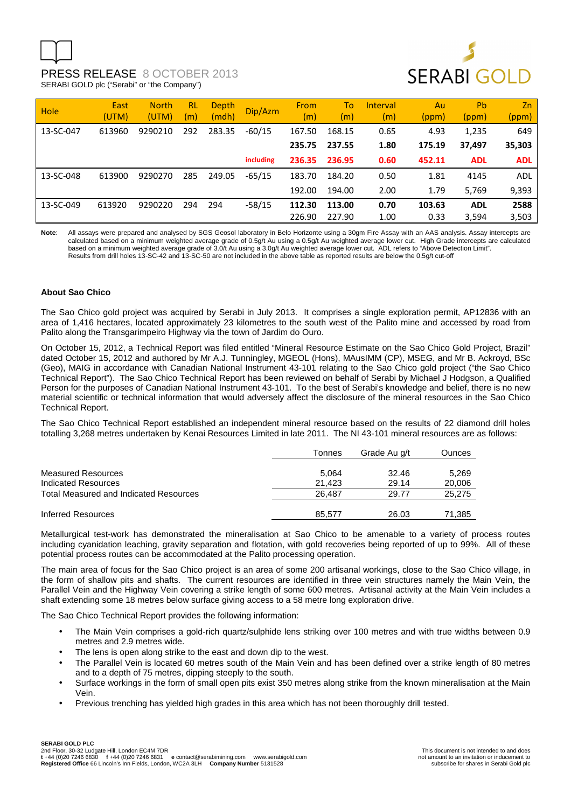# PRESS RELEASE 8 OCTOBER 2013 SERABI GOLD plc ("Serabi" or "the Company")



| Hole      | East   | <b>North</b> | <b>RL</b> | Depth  | Dip/Azm   | From   | To     | <b>Interval</b> | Au     | Pb         | Zn         |
|-----------|--------|--------------|-----------|--------|-----------|--------|--------|-----------------|--------|------------|------------|
|           | (UTM)  | (UTM)        | (m)       | (mdh)  |           | (m)    | (m)    | (m)             | (ppm)  | (ppm)      | (ppm)      |
| 13-SC-047 | 613960 | 9290210      | 292       | 283.35 | -60/15    | 167.50 | 168.15 | 0.65            | 4.93   | 1,235      | 649        |
|           |        |              |           |        |           | 235.75 | 237.55 | 1.80            | 175.19 | 37,497     | 35,303     |
|           |        |              |           |        | including | 236.35 | 236.95 | 0.60            | 452.11 | <b>ADL</b> | <b>ADL</b> |
| 13-SC-048 | 613900 | 9290270      | 285       | 249.05 | -65/15    | 183.70 | 184.20 | 0.50            | 1.81   | 4145       | ADL        |
|           |        |              |           |        |           | 192.00 | 194.00 | 2.00            | 1.79   | 5,769      | 9,393      |
| 13-SC-049 | 613920 | 9290220      | 294       | 294    | -58/15    | 112.30 | 113.00 | 0.70            | 103.63 | <b>ADL</b> | 2588       |
|           |        |              |           |        |           | 226.90 | 227.90 | 1.00            | 0.33   | 3,594      | 3,503      |

**Note**: All assays were prepared and analysed by SGS Geosol laboratory in Belo Horizonte using a 30gm Fire Assay with an AAS analysis. Assay intercepts are calculated based on a minimum weighted average grade of 0.5g/t Au using a 0.5g/t Au weighted average lower cut. High Grade intercepts are calculated based on a minimum weighted average grade of 3.0/t Au using a 3.0g/t Au weighted average lower cut. ADL refers to "Above Detection Limit". Results from drill holes 13-SC-42 and 13-SC-50 are not included in the above table as reported results are below the 0.5g/t cut-off

## **About Sao Chico**

The Sao Chico gold project was acquired by Serabi in July 2013. It comprises a single exploration permit, AP12836 with an area of 1,416 hectares, located approximately 23 kilometres to the south west of the Palito mine and accessed by road from Palito along the Transgarimpeiro Highway via the town of Jardim do Ouro.

On October 15, 2012, a Technical Report was filed entitled "Mineral Resource Estimate on the Sao Chico Gold Project, Brazil" dated October 15, 2012 and authored by Mr A.J. Tunningley, MGEOL (Hons), MAusIMM (CP), MSEG, and Mr B. Ackroyd, BSc (Geo), MAIG in accordance with Canadian National Instrument 43-101 relating to the Sao Chico gold project ("the Sao Chico Technical Report"). The Sao Chico Technical Report has been reviewed on behalf of Serabi by Michael J Hodgson, a Qualified Person for the purposes of Canadian National Instrument 43-101. To the best of Serabi's knowledge and belief, there is no new material scientific or technical information that would adversely affect the disclosure of the mineral resources in the Sao Chico Technical Report.

The Sao Chico Technical Report established an independent mineral resource based on the results of 22 diamond drill holes totalling 3,268 metres undertaken by Kenai Resources Limited in late 2011. The NI 43-101 mineral resources are as follows:

|                                               | Tonnes | Grade Au g/t | Ounces |
|-----------------------------------------------|--------|--------------|--------|
| <b>Measured Resources</b>                     | 5.064  | 32.46        | 5,269  |
| Indicated Resources                           | 21.423 | 29.14        | 20,006 |
| <b>Total Measured and Indicated Resources</b> | 26.487 | 29.77        | 25,275 |
| Inferred Resources                            | 85.577 | 26.03        | 71.385 |

Metallurgical test-work has demonstrated the mineralisation at Sao Chico to be amenable to a variety of process routes including cyanidation leaching, gravity separation and flotation, with gold recoveries being reported of up to 99%. All of these potential process routes can be accommodated at the Palito processing operation.

The main area of focus for the Sao Chico project is an area of some 200 artisanal workings, close to the Sao Chico village, in the form of shallow pits and shafts. The current resources are identified in three vein structures namely the Main Vein, the Parallel Vein and the Highway Vein covering a strike length of some 600 metres. Artisanal activity at the Main Vein includes a shaft extending some 18 metres below surface giving access to a 58 metre long exploration drive.

The Sao Chico Technical Report provides the following information:

- The Main Vein comprises a gold-rich quartz/sulphide lens striking over 100 metres and with true widths between 0.9 metres and 2.9 metres wide.
- The lens is open along strike to the east and down dip to the west.
- The Parallel Vein is located 60 metres south of the Main Vein and has been defined over a strike length of 80 metres and to a depth of 75 metres, dipping steeply to the south.
- Surface workings in the form of small open pits exist 350 metres along strike from the known mineralisation at the Main Vein.
- Previous trenching has yielded high grades in this area which has not been thoroughly drill tested.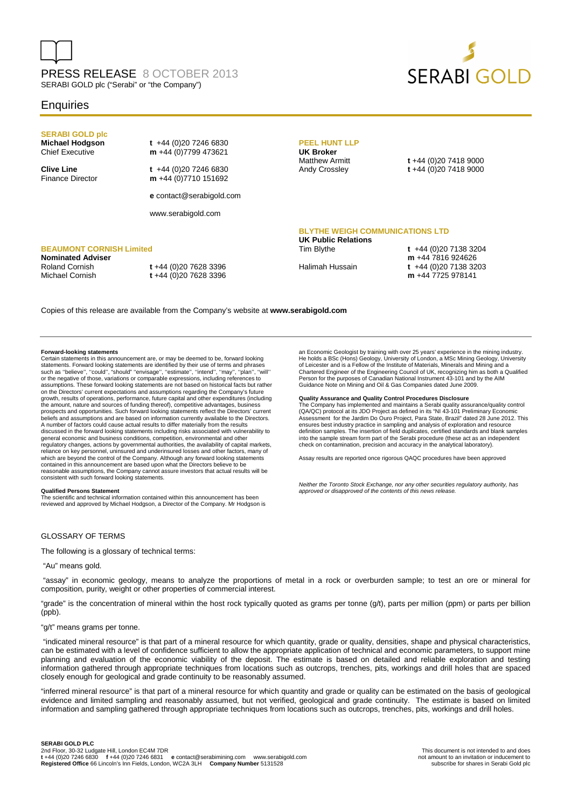

## **Enquiries**

# **SERABI GOLD plc Michael Hodgson t** +44 (0)20 7246 6830<br>Chief Executive **m** +44 (0)7799 473621

**Clive Line** t +44 (0)20 7246 6830<br>Finance Director **m** +44 (0)7710 151692

m +44 (0)7799 473621

m +44 (0)7710 151692

**e** contact@serabigold.com

www.serabigold.com

### **BEAUMONT CORNISH Limited**

**Nominated Adviser** 

Roland Cornish **t** +44 (0)20 7628 3396 Michael Cornish **t** +44 (0)20 7628 3396

## **PEEL HUNT LLP**

**UK Broker**

Matthew Armitt **t** +44 (0)20 7418 9000 Andy Crossley **t** +44 (0)20 7418 9000

## **BLYTHE WEIGH COMMUNICATIONS LTD**

**UK Public Relations** 

Tim Blythe **t** +44 (0)20 7138 3204 **m** +44 7816 924626 Halimah Hussain **t** +44 (0)20 7138 3203 **m** +44 7725 978141

an Economic Geologist by training with over 25 years' experience in the mining industry. He holds a BSc (Hons) Geology, University of London, a MSc Mining Geology, University

of Leicester and is a Fellow of the Institute of Materials, Minerals and Mining and a<br>Chartered Engineer of the Engineering Council of UK, recognizing him as both a Qualified<br>Person for the purposes of Canadian National In

The Company has implemented and maintains a Serabi quality assurance/quality control<br>(QA/QC) protocol at its JDO Project as defined in its "NI 43-101 Preliminary Economic<br>Assessment for the Jardim Do Ouro Project, Para St ensures best industry practice in sampling and analysis of exploration and resource definition samples. The insertion of field duplicates, certified standards and blank samples into the sample stream form part of the Serabi procedure (these act as an independent check on contamination, precision and accuracy in the analytical laboratory). Assay results are reported once rigorous QAQC procedures have been approved

Neither the Toronto Stock Exchange, nor any other securities regulatory authority, has

**Quality Assurance and Quality Control Procedures Disclosure** 

approved or disapproved of the contents of this news release.

Copies of this release are available from the Company's website at **www.serabigold.com** 

#### **Forward-looking statements**

Certain statements in this announcement are, or may be deemed to be, forward looking statements. Forward looking statements are identified by their use of terms and phrases<br>such as "believe", "could", "should" "envisage", "estimate", "intend", "may", "plan", "will"<br>or the negative of those, variations or c on the Directors' current expectations and assumptions regarding the Company's future growth, results of operations, performance, future capital and other expenditures (including the amount, nature and sources of funding thereof), competitive advantages, business<br>prospects and opportunities. Such forward looking statements reflect the Directors' current<br>beliefs and assumptions and are based on info A number of factors could cause actual results to differ materially from the results discussed in the forward looking statements including risks associated with vulnerability to<br>general economic and business conditions, competition, environmental and other<br>regulatory changes, actions by governmental author which are beyond the control of the Company. Although any forward looking statements contained in this announcement are based upon what the Directors believe to be reasonable assumptions, the Company cannot assure investors that actual results will be consistent with such forward looking statements.

#### **Qualified Persons Statement**

The scientific and technical information contained within this announcement has been reviewed and approved by Michael Hodgson, a Director of the Company. Mr Hodgson is

GLOSSARY OF TERMS

The following is a glossary of technical terms:

### "Au" means gold.

 "assay" in economic geology, means to analyze the proportions of metal in a rock or overburden sample; to test an ore or mineral for composition, purity, weight or other properties of commercial interest.

"grade" is the concentration of mineral within the host rock typically quoted as grams per tonne (g/t), parts per million (ppm) or parts per billion (ppb).

"g/t" means grams per tonne.

 "indicated mineral resource" is that part of a mineral resource for which quantity, grade or quality, densities, shape and physical characteristics, can be estimated with a level of confidence sufficient to allow the appropriate application of technical and economic parameters, to support mine planning and evaluation of the economic viability of the deposit. The estimate is based on detailed and reliable exploration and testing information gathered through appropriate techniques from locations such as outcrops, trenches, pits, workings and drill holes that are spaced closely enough for geological and grade continuity to be reasonably assumed.

"inferred mineral resource" is that part of a mineral resource for which quantity and grade or quality can be estimated on the basis of geological evidence and limited sampling and reasonably assumed, but not verified, geological and grade continuity. The estimate is based on limited information and sampling gathered through appropriate techniques from locations such as outcrops, trenches, pits, workings and drill holes.